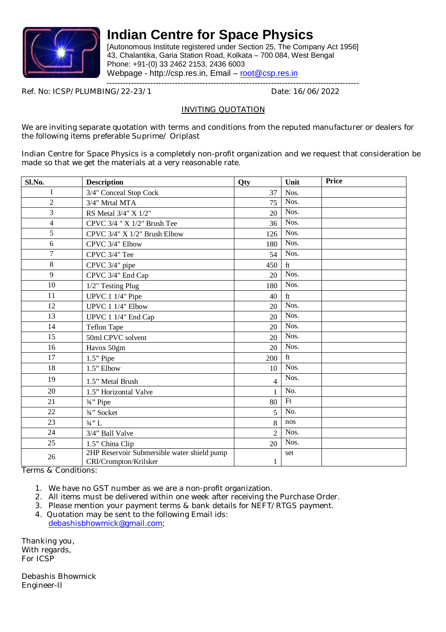

[Autonomous Institute registered under Section 25, The Company Act 1956] 43, Chalantika, Garia Station Road, Kolkata – 700 084, West Bengal Phone: +91-(0) 33 2462 2153, 2436 6003 Webpage - http://csp.res.in, Email – root@csp.res.in

--------------------------------------------------------------------------------------------

Ref. No: ICSP/PLUMBING/22-23/1

#### INVITING QUOTATION

We are inviting separate quotation with terms and conditions from the reputed manufacturer or dealers for the following items preferable Suprime/ Oriplast

Indian Centre for Space Physics is a completely non-profit organization and we request that consideration be made so that we get the materials at a very reasonable rate.

| Sl.No.         | <b>Description</b>                                                   | Qty            | Unit                | Price |
|----------------|----------------------------------------------------------------------|----------------|---------------------|-------|
| 1              | 3/4" Conceal Stop Cock                                               | 37             | Nos.                |       |
| $\overline{2}$ | 3/4" Mrtal MTA                                                       | 75             | Nos.                |       |
| 3              | RS Metal 3/4" X 1/2"                                                 | 20             | Nos.                |       |
| $\overline{4}$ | CPVC 3/4 " X 1/2" Brush Tee                                          | 36             | Nos.                |       |
| 5              | CPVC 3/4" X 1/2" Brush Elbow                                         | 126            | Nos.                |       |
| 6              | CPVC 3/4" Elbow                                                      | 180            | Nos.                |       |
| 7              | CPVC 3/4" Tee                                                        | 54             | Nos.                |       |
| 8              | CPVC 3/4" pipe                                                       | 450            | ft                  |       |
| 9              | CPVC 3/4" End Cap                                                    | 20             | Nos.                |       |
| 10             | 1/2" Testing Plug                                                    | 180            | Nos.                |       |
| 11             | UPVC 1 1/4" Pipe                                                     | 40             | $\operatorname{ft}$ |       |
| 12             | UPVC 1 1/4" Elbow                                                    | 20             | Nos.                |       |
| 13             | UPVC 1 1/4" End Cap                                                  | 20             | Nos.                |       |
| 14             | <b>Teflon Tape</b>                                                   | 20             | Nos.                |       |
| 15             | 50ml CPVC solvent                                                    | 20             | Nos.                |       |
| 16             | Havox 50gm                                                           | 20             | Nos.                |       |
| 17             | $1.5"$ Pipe                                                          | 200            | ft                  |       |
| 18             | 1.5" Elbow                                                           | 10             | Nos.                |       |
| 19             | 1.5" Metal Brush                                                     | $\overline{4}$ | Nos.                |       |
| 20             | 1.5" Horizontal Valve                                                |                | No.                 |       |
| 21             | 3/ <sub>4</sub> " Pipe                                               | 80             | Ft                  |       |
| 22             | 3/4" Socket                                                          | 5              | No.                 |       |
| 23             | $3/4$ "L                                                             | 8              | nos                 |       |
| 24             | 3/4" Ball Valve                                                      | $\overline{2}$ | Nos.                |       |
| 25             | 1.5" China Clip                                                      | 20             | Nos.                |       |
| 26             | 2HP Reservoir Submersible water shield pump<br>CRI/Crompton/Krilsker | 1              | set                 |       |

Terms & Conditions:

1. We have no GST number as we are a non-profit organization.

2. All items must be delivered within one week after receiving the Purchase Order.

- 3. Please mention your payment terms & bank details for NEFT/RTGS payment.
- 4. Quotation may be sent to the following Email ids: debashisbhowmick@gmail.com;

Thanking you, With regards. For ICSP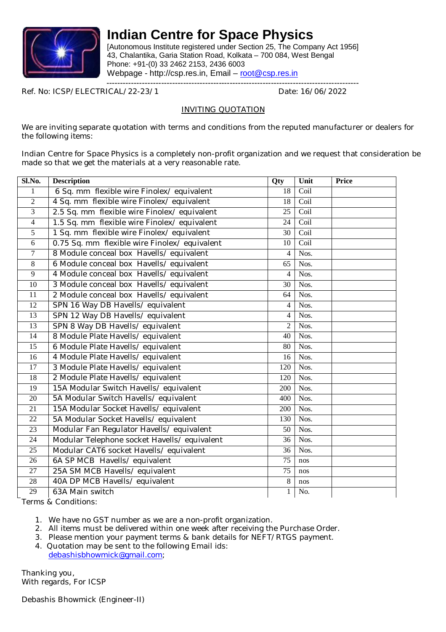

[Autonomous Institute registered under Section 25, The Company Act 1956] 43, Chalantika, Garia Station Road, Kolkata – 700 084, West Bengal Phone: +91-(0) 33 2462 2153, 2436 6003 Webpage - http://csp.res.in, Email – root@csp.res.in

--------------------------------------------------------------------------------------------

Ref. No: ICSP/ELECTRICAL/22-23/1 Date: 16/06/2022

#### INVITING QUOTATION

We are inviting separate quotation with terms and conditions from the reputed manufacturer or dealers for the following items:

Indian Centre for Space Physics is a completely non-profit organization and we request that consideration be made so that we get the materials at a very reasonable rate.

| Sl.No.          | <b>Description</b>                            | Qty             | Unit | <b>Price</b> |
|-----------------|-----------------------------------------------|-----------------|------|--------------|
| 1               | 6 Sq. mm flexible wire Finolex/ equivalent    | $\overline{18}$ | Coil |              |
| $\overline{2}$  | 4 Sq. mm flexible wire Finolex/equivalent     | 18              | Coil |              |
| $\overline{3}$  | 2.5 Sq. mm flexible wire Finolex/equivalent   | $\overline{25}$ | Coil |              |
| $\overline{4}$  | 1.5 Sq. mm flexible wire Finolex/equivalent   | 24              | Coil |              |
| 5               | 1 Sq. mm flexible wire Finolex/equivalent     | 30              | Coil |              |
| $6\,$           | 0.75 Sq. mm flexible wire Finolex/ equivalent | 10              | Coil |              |
| $\overline{7}$  | 8 Module conceal box Havells/ equivalent      | $\overline{4}$  | Nos. |              |
| $\overline{8}$  | 6 Module conceal box Havells/ equivalent      | 65              | Nos. |              |
| $\overline{9}$  | 4 Module conceal box Havells/ equivalent      | $\overline{4}$  | Nos. |              |
| 10              | 3 Module conceal box Havells/ equivalent      | 30              | Nos. |              |
| 11              | 2 Module conceal box Havells/ equivalent      | 64              | Nos. |              |
| 12              | SPN 16 Way DB Havells/ equivalent             | 4               | Nos. |              |
| $\overline{13}$ | SPN 12 Way DB Havells/ equivalent             | 4               | Nos. |              |
| 13              | SPN 8 Way DB Havells/equivalent               | $\overline{2}$  | Nos. |              |
| 14              | 8 Module Plate Havells/ equivalent            | 40              | Nos. |              |
| $\overline{15}$ | 6 Module Plate Havells/ equivalent            | 80              | Nos. |              |
| $\overline{16}$ | 4 Module Plate Havells/ equivalent            | 16              | Nos. |              |
| $\overline{17}$ | 3 Module Plate Havells/ equivalent            | 120             | Nos. |              |
| $\overline{18}$ | 2 Module Plate Havells/ equivalent            | 120             | Nos. |              |
| 19              | 15A Modular Switch Havells/ equivalent        | 200             | Nos. |              |
| 20              | 5A Modular Switch Havells/ equivalent         | 400             | Nos. |              |
| 21              | 15A Modular Socket Havells/ equivalent        | 200             | Nos. |              |
| $\overline{22}$ | 5A Modular Socket Havells/ equivalent         | 130             | Nos. |              |
| 23              | Modular Fan Regulator Havells/equivalent      | 50              | Nos. |              |
| 24              | Modular Telephone socket Havells/equivalent   | 36              | Nos. |              |
| 25              | Modular CAT6 socket Havells/ equivalent       | $\overline{36}$ | Nos. |              |
| 26              | 6A SP MCB Havells/equivalent                  | 75              | nos  |              |
| 27              | 25A SM MCB Havells/equivalent                 | 75              | nos  |              |
| 28              | 40A DP MCB Havells/equivalent                 | 8               | nos  |              |
| 29              | 63A Main switch                               | 1               | No.  |              |

Terms & Conditions:

- 1. We have no GST number as we are a non-profit organization.
- 2. All items must be delivered within one week after receiving the Purchase Order.
- 3. Please mention your payment terms & bank details for NEFT/RTGS payment.
- 4. Quotation may be sent to the following Email ids: debashisbhowmick@gmail.com;

Thanking you, With regards, For ICSP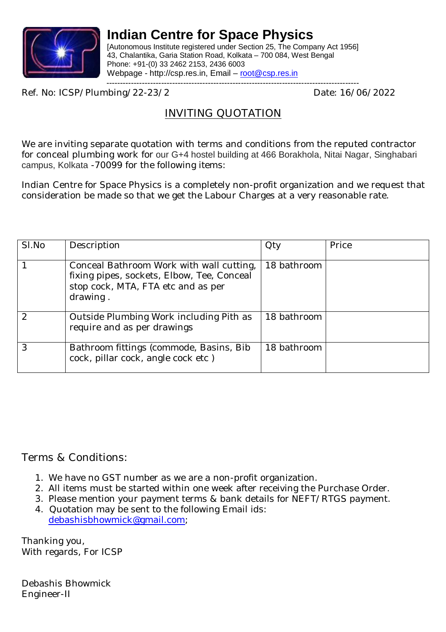

[Autonomous Institute registered under Section 25, The Company Act 1956] 43, Chalantika, Garia Station Road, Kolkata – 700 084, West Bengal Phone: +91-(0) 33 2462 2153, 2436 6003 Webpage - http://csp.res.in, Email – root@csp.res.in

--------------------------------------------------------------------------------------------

Ref. No: ICSP/Plumbing/22-23/2 Date: 16/06/2022

### INVITING QUOTATION

We are inviting separate quotation with terms and conditions from the reputed contractor for conceal plumbing work for our G+4 hostel building at 466 Borakhola, Nitai Nagar, Singhabari campus, Kolkata -70099 for the following items:

Indian Centre for Space Physics is a completely non-profit organization and we request that consideration be made so that we get the Labour Charges at a very reasonable rate.

| SI.No | Description                                                                                                                              | <b>Qty</b>  | Price |
|-------|------------------------------------------------------------------------------------------------------------------------------------------|-------------|-------|
|       | Conceal Bathroom Work with wall cutting,<br>fixing pipes, sockets, Elbow, Tee, Conceal<br>stop cock, MTA, FTA etc and as per<br>drawing. | 18 bathroom |       |
|       | Outside Plumbing Work including Pith as<br>require and as per drawings                                                                   | 18 bathroom |       |
|       | Bathroom fittings (commode, Basins, Bib<br>cock, pillar cock, angle cock etc)                                                            | 18 bathroom |       |

Terms & Conditions:

- 1. We have no GST number as we are a non-profit organization.
- 2. All items must be started within one week after receiving the Purchase Order.
- 3. Please mention your payment terms & bank details for NEFT/RTGS payment.
- 4. Quotation may be sent to the following Email ids: debashisbhowmick@gmail.com;

Thanking you, With regards, For ICSP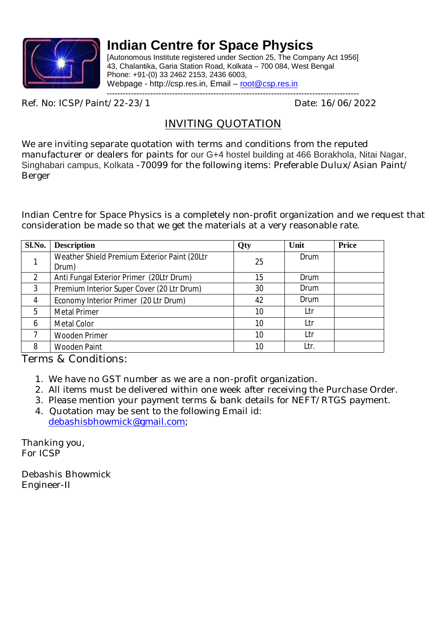

[Autonomous Institute registered under Section 25, The Company Act 1956] 43, Chalantika, Garia Station Road, Kolkata – 700 084, West Bengal Phone: +91-(0) 33 2462 2153, 2436 6003, Webpage - http://csp.res.in, Email - root@csp.res.in

--------------------------------------------------------------------------------------------

Ref. No: ICSP/Paint/22-23/1 Date: 16/06/2022

### INVITING QUOTATION

We are inviting separate quotation with terms and conditions from the reputed manufacturer or dealers for paints for our G+4 hostel building at 466 Borakhola, Nitai Nagar, Singhabari campus, Kolkata -70099 for the following items: Preferable Dulux/Asian Paint/ Berger

Indian Centre for Space Physics is a completely non-profit organization and we request that consideration be made so that we get the materials at a very reasonable rate.

| Sl.No.         | <b>Description</b>                           | Qty | Unit | <b>Price</b> |
|----------------|----------------------------------------------|-----|------|--------------|
|                | Weather Shield Premium Exterior Paint (20Ltr | 25  | Drum |              |
|                | Drum)                                        |     |      |              |
| $\overline{2}$ | Anti Fungal Exterior Primer (20Ltr Drum)     | 15  | Drum |              |
| 3              | Premium Interior Super Cover (20 Ltr Drum)   | 30  | Drum |              |
| $\overline{4}$ | Economy Interior Primer (20 Ltr Drum)        | 42  | Drum |              |
| 5              | <b>Metal Primer</b>                          | 10  | Ltr  |              |
| 6              | Metal Color                                  | 10  | Ltr  |              |
|                | <b>Wooden Primer</b>                         | 10  | Ltr  |              |
| 8              | <b>Wooden Paint</b>                          | 10  | Ltr. |              |

Terms & Conditions:

- 1. We have no GST number as we are a non-profit organization.
- 2. All items must be delivered within one week after receiving the Purchase Order.
- 3. Please mention your payment terms & bank details for NEFT/RTGS payment.
- 4. Quotation may be sent to the following Email id: debashisbhowmick@gmail.com;

Thanking you, For ICSP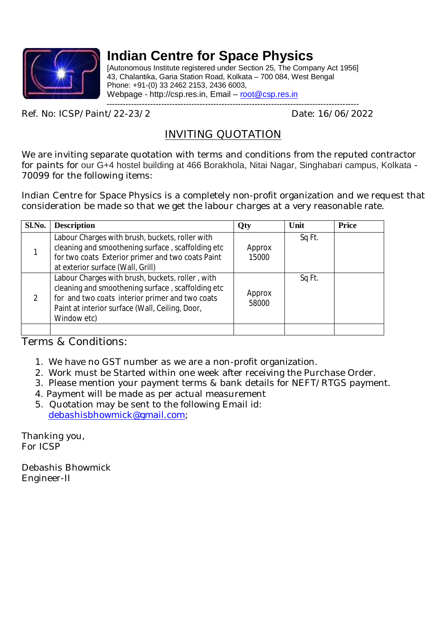

[Autonomous Institute registered under Section 25, The Company Act 1956] 43, Chalantika, Garia Station Road, Kolkata – 700 084, West Bengal Phone: +91-(0) 33 2462 2153, 2436 6003, Webpage - http://csp.res.in, Email – root@csp.res.in --------------------------------------------------------------------------------------------

Ref. No: ICSP/Paint/22-23/2 Date: 16/06/2022

### INVITING QUOTATION

We are inviting separate quotation with terms and conditions from the reputed contractor for paints for our G+4 hostel building at 466 Borakhola, Nitai Nagar, Singhabari campus, Kolkata - 70099 for the following items:

Indian Centre for Space Physics is a completely non-profit organization and we request that consideration be made so that we get the labour charges at a very reasonable rate.

| Sl.No.        | <b>Description</b>                                                                                                                                                                                                         | Qty             | Unit   | <b>Price</b> |
|---------------|----------------------------------------------------------------------------------------------------------------------------------------------------------------------------------------------------------------------------|-----------------|--------|--------------|
|               | Labour Charges with brush, buckets, roller with<br>cleaning and smoothening surface, scaffolding etc<br>for two coats Exterior primer and two coats Paint<br>at exterior surface (Wall, Grill)                             | Approx<br>15000 | Sq Ft. |              |
| $\mathcal{L}$ | Labour Charges with brush, buckets, roller, with<br>cleaning and smoothening surface, scaffolding etc<br>for and two coats interior primer and two coats<br>Paint at interior surface (Wall, Ceiling, Door,<br>Window etc) | Approx<br>58000 | Sq Ft. |              |
|               |                                                                                                                                                                                                                            |                 |        |              |

Terms & Conditions:

- 1. We have no GST number as we are a non-profit organization.
- 2. Work must be Started within one week after receiving the Purchase Order.
- 3. Please mention your payment terms & bank details for NEFT/RTGS payment.
- 4. Payment will be made as per actual measurement
- 5. Quotation may be sent to the following Email id: debashisbhowmick@gmail.com;

Thanking you, For ICSP